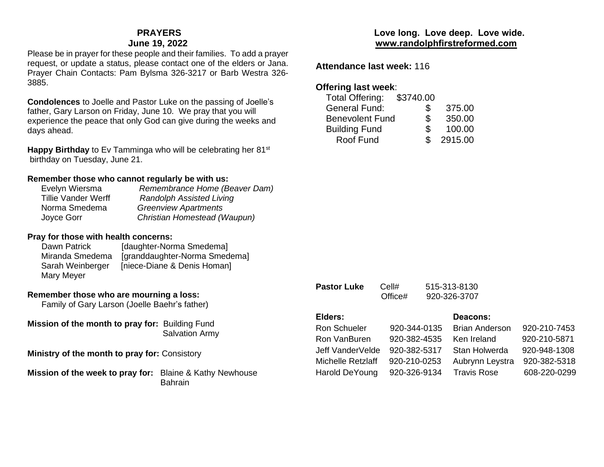### **PRAYERS June 19, 2022**

Please be in prayer for these people and their families. To add a prayer request, or update a status, please contact one of the elders or Jana. Prayer Chain Contacts: Pam Bylsma 326-3217 or Barb Westra 326- 3885.

**Condolences** to Joelle and Pastor Luke on the passing of Joelle's father, Gary Larson on Friday, June 10. We pray that you will experience the peace that only God can give during the weeks and days ahead.

**Happy Birthday** to Ev Tamminga who will be celebrating her 81<sup>st</sup> birthday on Tuesday, June 21.

#### **Remember those who cannot regularly be with us:**

| Evelyn Wiersma             | Remembrance Home (Beaver Dam)   |
|----------------------------|---------------------------------|
| <b>Tillie Vander Werff</b> | <b>Randolph Assisted Living</b> |
| Norma Smedema              | <b>Greenview Apartments</b>     |
| Joyce Gorr                 | Christian Homestead (Waupun)    |
|                            |                                 |

### **Pray for those with health concerns:**

| Dawn Patrick     | [daughter-Norma Smedema]      |
|------------------|-------------------------------|
| Miranda Smedema  | [granddaughter-Norma Smedema] |
| Sarah Weinberger | [niece-Diane & Denis Homan]   |
| Mary Meyer       |                               |

### **Remember those who are mourning a loss:**

Family of Gary Larson (Joelle Baehr's father)

**Mission of the month to pray for:** Building Fund Salvation Army

**Ministry of the month to pray for:** Consistory

**Mission of the week to pray for:** Blaine & Kathy Newhouse Bahrain

## **Love long. Love deep. Love wide. [www.randolphfirstreformed.com](http://www.randolphfirstreformed.com/)**

**Attendance last week:** 116

# **Offering last week**:

| <b>Total Offering:</b> | \$3740.00 |         |
|------------------------|-----------|---------|
| <b>General Fund:</b>   | S         | 375.00  |
| <b>Benevolent Fund</b> | S         | 350.00  |
| <b>Building Fund</b>   | S         | 100.00  |
| Roof Fund              |           | 2915.00 |
|                        |           |         |

**Pastor Luke** Cell# 515-313-8130

| 920-326-3707<br>Office# |              |                       |              |  |
|-------------------------|--------------|-----------------------|--------------|--|
| Elders:                 |              | Deacons:              |              |  |
| <b>Ron Schueler</b>     | 920-344-0135 | <b>Brian Anderson</b> | 920-210-7453 |  |
| Ron VanBuren            | 920-382-4535 | Ken Ireland           | 920-210-5871 |  |
| Jeff VanderVelde        | 920-382-5317 | Stan Holwerda         | 920-948-1308 |  |
| Michelle Retzlaff       | 920-210-0253 | Aubrynn Leystra       | 920-382-5318 |  |
| Harold DeYoung          | 920-326-9134 | <b>Travis Rose</b>    | 608-220-0299 |  |
|                         |              |                       |              |  |